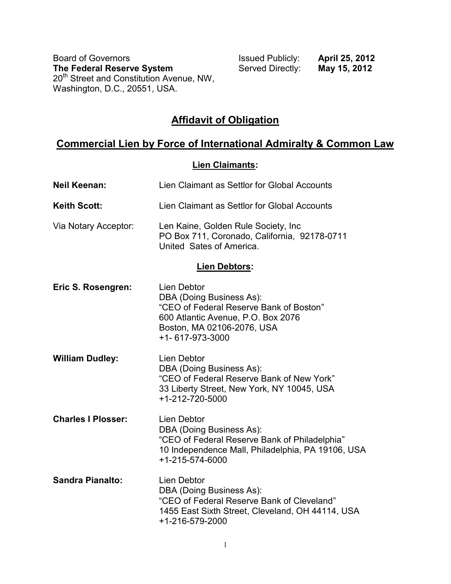Board of Governors<br> **The Federal Reserve System**<br> **ISSUED Publicly: April 25, 2012**<br>
Served Directly: **May 15, 2012 The Federal Reserve System Manu Served Directly: May 15, 2012** 20<sup>th</sup> Street and Constitution Avenue, NW, Washington, D.C., 20551, USA.

## **Affidavit of Obligation**

# **Commercial Lien by Force of International Admiralty & Common Law**

#### **Lien Claimants:**

| <b>Neil Keenan:</b>       | Lien Claimant as Settlor for Global Accounts                                                                                                                                     |
|---------------------------|----------------------------------------------------------------------------------------------------------------------------------------------------------------------------------|
| <b>Keith Scott:</b>       | Lien Claimant as Settlor for Global Accounts                                                                                                                                     |
| Via Notary Acceptor:      | Len Kaine, Golden Rule Society, Inc.<br>PO Box 711, Coronado, California, 92178-0711<br>United Sates of America.                                                                 |
|                           | <b>Lien Debtors:</b>                                                                                                                                                             |
| Eric S. Rosengren:        | <b>Lien Debtor</b><br>DBA (Doing Business As):<br>"CEO of Federal Reserve Bank of Boston"<br>600 Atlantic Avenue, P.O. Box 2076<br>Boston, MA 02106-2076, USA<br>+1-617-973-3000 |
| <b>William Dudley:</b>    | Lien Debtor<br>DBA (Doing Business As):<br>"CEO of Federal Reserve Bank of New York"<br>33 Liberty Street, New York, NY 10045, USA<br>+1-212-720-5000                            |
| <b>Charles I Plosser:</b> | Lien Debtor<br>DBA (Doing Business As):<br>"CEO of Federal Reserve Bank of Philadelphia"<br>10 Independence Mall, Philadelphia, PA 19106, USA<br>+1-215-574-6000                 |
| <b>Sandra Pianalto:</b>   | Lien Debtor<br>DBA (Doing Business As):<br>"CEO of Federal Reserve Bank of Cleveland"<br>1455 East Sixth Street, Cleveland, OH 44114, USA<br>+1-216-579-2000                     |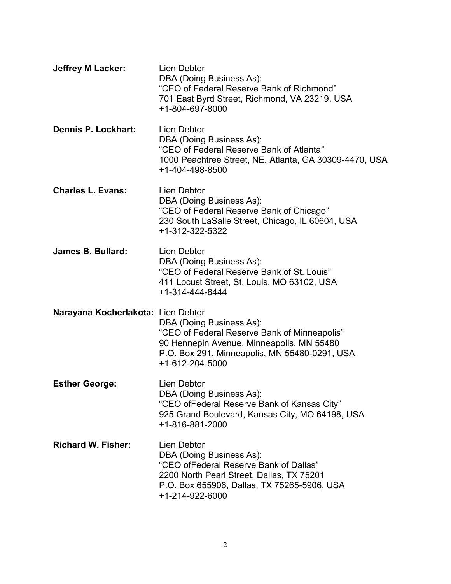| <b>Jeffrey M Lacker:</b>           | Lien Debtor<br>DBA (Doing Business As):<br>"CEO of Federal Reserve Bank of Richmond"<br>701 East Byrd Street, Richmond, VA 23219, USA<br>+1-804-697-8000                                         |
|------------------------------------|--------------------------------------------------------------------------------------------------------------------------------------------------------------------------------------------------|
| Dennis P. Lockhart:                | <b>Lien Debtor</b><br>DBA (Doing Business As):<br>"CEO of Federal Reserve Bank of Atlanta"<br>1000 Peachtree Street, NE, Atlanta, GA 30309-4470, USA<br>+1-404-498-8500                          |
| <b>Charles L. Evans:</b>           | Lien Debtor<br>DBA (Doing Business As):<br>"CEO of Federal Reserve Bank of Chicago"<br>230 South LaSalle Street, Chicago, IL 60604, USA<br>+1-312-322-5322                                       |
| James B. Bullard:                  | Lien Debtor<br>DBA (Doing Business As):<br>"CEO of Federal Reserve Bank of St. Louis"<br>411 Locust Street, St. Louis, MO 63102, USA<br>+1-314-444-8444                                          |
| Narayana Kocherlakota: Lien Debtor | DBA (Doing Business As):<br>"CEO of Federal Reserve Bank of Minneapolis"<br>90 Hennepin Avenue, Minneapolis, MN 55480<br>P.O. Box 291, Minneapolis, MN 55480-0291, USA<br>+1-612-204-5000        |
| <b>Esther George:</b>              | Lien Debtor<br>DBA (Doing Business As):<br>"CEO ofFederal Reserve Bank of Kansas City"<br>925 Grand Boulevard, Kansas City, MO 64198, USA<br>+1-816-881-2000                                     |
| <b>Richard W. Fisher:</b>          | Lien Debtor<br>DBA (Doing Business As):<br>"CEO ofFederal Reserve Bank of Dallas"<br>2200 North Pearl Street, Dallas, TX 75201<br>P.O. Box 655906, Dallas, TX 75265-5906, USA<br>+1-214-922-6000 |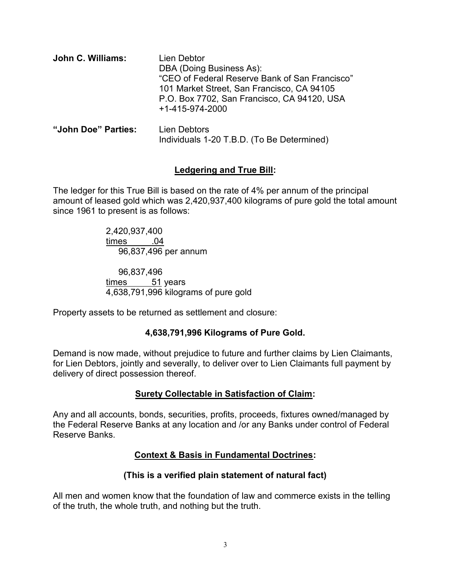| John C. Williams:   | Lien Debtor<br>DBA (Doing Business As):<br>"CEO of Federal Reserve Bank of San Francisco"<br>101 Market Street, San Francisco, CA 94105<br>P.O. Box 7702, San Francisco, CA 94120, USA<br>+1-415-974-2000 |
|---------------------|-----------------------------------------------------------------------------------------------------------------------------------------------------------------------------------------------------------|
| "John Doe" Parties: | Lien Debtors                                                                                                                                                                                              |

**"John Doe" Parties:** Lien Debtors Individuals 1-20 T.B.D. (To Be Determined)

#### **Ledgering and True Bill:**

The ledger for this True Bill is based on the rate of 4% per annum of the principal amount of leased gold which was 2,420,937,400 kilograms of pure gold the total amount since 1961 to present is as follows:

> 2,420,937,400 times .04 96,837,496 per annum

96,837,496  $times$  51 years 4,638,791,996 kilograms of pure gold

Property assets to be returned as settlement and closure:

#### **4,638,791,996 Kilograms of Pure Gold.**

Demand is now made, without prejudice to future and further claims by Lien Claimants, for Lien Debtors, jointly and severally, to deliver over to Lien Claimants full payment by delivery of direct possession thereof.

#### **Surety Collectable in Satisfaction of Claim:**

Any and all accounts, bonds, securities, profits, proceeds, fixtures owned/managed by the Federal Reserve Banks at any location and /or any Banks under control of Federal Reserve Banks.

### **Context & Basis in Fundamental Doctrines:**

#### **(This is a verified plain statement of natural fact)**

All men and women know that the foundation of law and commerce exists in the telling of the truth, the whole truth, and nothing but the truth.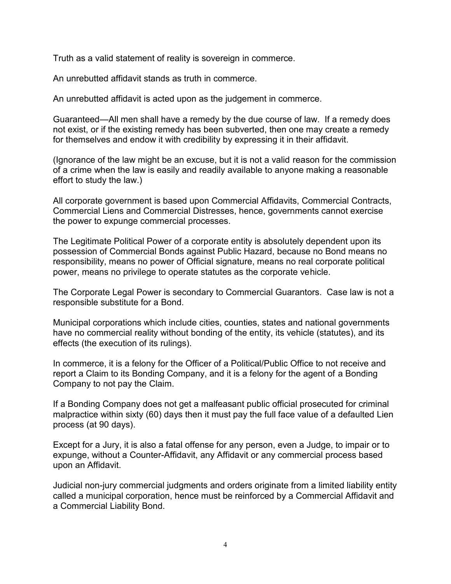Truth as a valid statement of reality is sovereign in commerce.

An unrebutted affidavit stands as truth in commerce.

An unrebutted affidavit is acted upon as the judgement in commerce.

Guaranteed—All men shall have a remedy by the due course of law. If a remedy does not exist, or if the existing remedy has been subverted, then one may create a remedy for themselves and endow it with credibility by expressing it in their affidavit.

(Ignorance of the law might be an excuse, but it is not a valid reason for the commission of a crime when the law is easily and readily available to anyone making a reasonable effort to study the law.)

All corporate government is based upon Commercial Affidavits, Commercial Contracts, Commercial Liens and Commercial Distresses, hence, governments cannot exercise the power to expunge commercial processes.

The Legitimate Political Power of a corporate entity is absolutely dependent upon its possession of Commercial Bonds against Public Hazard, because no Bond means no responsibility, means no power of Official signature, means no real corporate political power, means no privilege to operate statutes as the corporate vehicle.

The Corporate Legal Power is secondary to Commercial Guarantors. Case law is not a responsible substitute for a Bond.

Municipal corporations which include cities, counties, states and national governments have no commercial reality without bonding of the entity, its vehicle (statutes), and its effects (the execution of its rulings).

In commerce, it is a felony for the Officer of a Political/Public Office to not receive and report a Claim to its Bonding Company, and it is a felony for the agent of a Bonding Company to not pay the Claim.

If a Bonding Company does not get a malfeasant public official prosecuted for criminal malpractice within sixty (60) days then it must pay the full face value of a defaulted Lien process (at 90 days).

Except for a Jury, it is also a fatal offense for any person, even a Judge, to impair or to expunge, without a Counter-Affidavit, any Affidavit or any commercial process based upon an Affidavit.

Judicial non-jury commercial judgments and orders originate from a limited liability entity called a municipal corporation, hence must be reinforced by a Commercial Affidavit and a Commercial Liability Bond.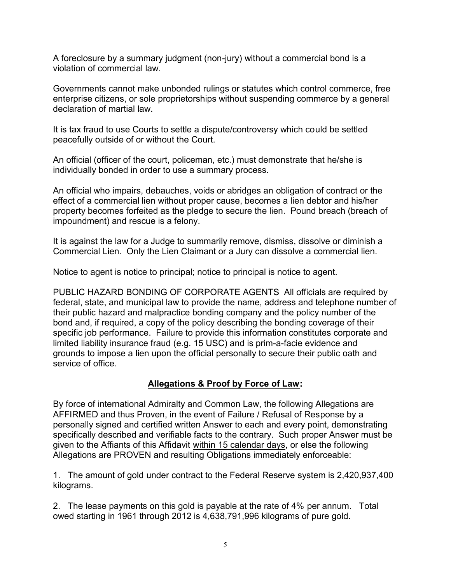A foreclosure by a summary judgment (non-jury) without a commercial bond is a violation of commercial law.

Governments cannot make unbonded rulings or statutes which control commerce, free enterprise citizens, or sole proprietorships without suspending commerce by a general declaration of martial law.

It is tax fraud to use Courts to settle a dispute/controversy which could be settled peacefully outside of or without the Court.

An official (officer of the court, policeman, etc.) must demonstrate that he/she is individually bonded in order to use a summary process.

An official who impairs, debauches, voids or abridges an obligation of contract or the effect of a commercial lien without proper cause, becomes a lien debtor and his/her property becomes forfeited as the pledge to secure the lien. Pound breach (breach of impoundment) and rescue is a felony.

It is against the law for a Judge to summarily remove, dismiss, dissolve or diminish a Commercial Lien. Only the Lien Claimant or a Jury can dissolve a commercial lien.

Notice to agent is notice to principal; notice to principal is notice to agent.

PUBLIC HAZARD BONDING OF CORPORATE AGENTS All officials are required by federal, state, and municipal law to provide the name, address and telephone number of their public hazard and malpractice bonding company and the policy number of the bond and, if required, a copy of the policy describing the bonding coverage of their specific job performance. Failure to provide this information constitutes corporate and limited liability insurance fraud (e.g. 15 USC) and is prim-a-facie evidence and grounds to impose a lien upon the official personally to secure their public oath and service of office.

#### **Allegations & Proof by Force of Law:**

By force of international Admiralty and Common Law, the following Allegations are AFFIRMED and thus Proven, in the event of Failure / Refusal of Response by a personally signed and certified written Answer to each and every point, demonstrating specifically described and verifiable facts to the contrary. Such proper Answer must be given to the Affiants of this Affidavit within 15 calendar days, or else the following Allegations are PROVEN and resulting Obligations immediately enforceable:

1. The amount of gold under contract to the Federal Reserve system is 2,420,937,400 kilograms.

2. The lease payments on this gold is payable at the rate of 4% per annum. Total owed starting in 1961 through 2012 is 4,638,791,996 kilograms of pure gold.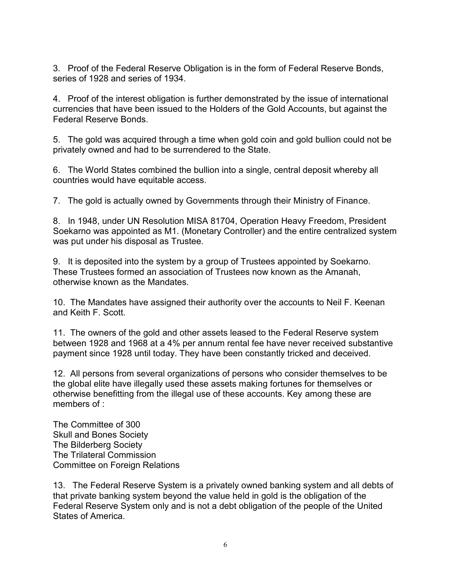3. Proof of the Federal Reserve Obligation is in the form of Federal Reserve Bonds, series of 1928 and series of 1934.

4. Proof of the interest obligation is further demonstrated by the issue of international currencies that have been issued to the Holders of the Gold Accounts, but against the Federal Reserve Bonds.

5. The gold was acquired through a time when gold coin and gold bullion could not be privately owned and had to be surrendered to the State.

6. The World States combined the bullion into a single, central deposit whereby all countries would have equitable access.

7. The gold is actually owned by Governments through their Ministry of Finance.

8. In 1948, under UN Resolution MISA 81704, Operation Heavy Freedom, President Soekarno was appointed as M1. (Monetary Controller) and the entire centralized system was put under his disposal as Trustee.

9. It is deposited into the system by a group of Trustees appointed by Soekarno. These Trustees formed an association of Trustees now known as the Amanah, otherwise known as the Mandates.

10. The Mandates have assigned their authority over the accounts to Neil F. Keenan and Keith F. Scott.

11. The owners of the gold and other assets leased to the Federal Reserve system between 1928 and 1968 at a 4% per annum rental fee have never received substantive payment since 1928 until today. They have been constantly tricked and deceived.

12. All persons from several organizations of persons who consider themselves to be the global elite have illegally used these assets making fortunes for themselves or otherwise benefitting from the illegal use of these accounts. Key among these are members of :

The Committee of 300 Skull and Bones Society The Bilderberg Society The Trilateral Commission Committee on Foreign Relations

13. The Federal Reserve System is a privately owned banking system and all debts of that private banking system beyond the value held in gold is the obligation of the Federal Reserve System only and is not a debt obligation of the people of the United States of America.